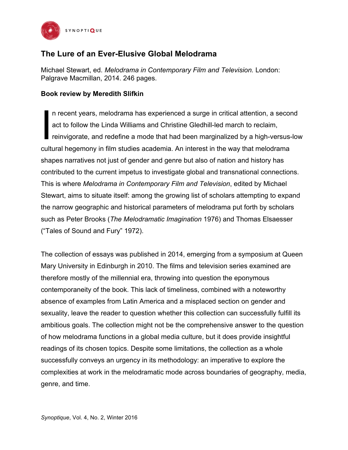

## **The Lure of an Ever-Elusive Global Melodrama**

Michael Stewart, ed. *Melodrama in Contemporary Film and Television.* London: Palgrave Macmillan, 2014. 246 pages.

## **Book review by Meredith Slifkin**

n recent years, melodrama has experienced a surge in critical attention, a second act to follow the Linda Williams and Christine Gledhill-led march to reclaim, reinvigorate, and redefine a mode that had been marginalized by a high-versus-low cultural hegemony in film studies academia. An interest in the way that melodrama shapes narratives not just of gender and genre but also of nation and history has contributed to the current impetus to investigate global and transnational connections. This is where *Melodrama in Contemporary Film and Television*, edited by Michael Stewart, aims to situate itself: among the growing list of scholars attempting to expand the narrow geographic and historical parameters of melodrama put forth by scholars such as Peter Brooks (*The Melodramatic Imagination* 1976) and Thomas Elsaesser ("Tales of Sound and Fury" 1972). I

The collection of essays was published in 2014, emerging from a symposium at Queen Mary University in Edinburgh in 2010. The films and television series examined are therefore mostly of the millennial era, throwing into question the eponymous contemporaneity of the book. This lack of timeliness, combined with a noteworthy absence of examples from Latin America and a misplaced section on gender and sexuality, leave the reader to question whether this collection can successfully fulfill its ambitious goals. The collection might not be the comprehensive answer to the question of how melodrama functions in a global media culture, but it does provide insightful readings of its chosen topics. Despite some limitations, the collection as a whole successfully conveys an urgency in its methodology: an imperative to explore the complexities at work in the melodramatic mode across boundaries of geography, media, genre, and time.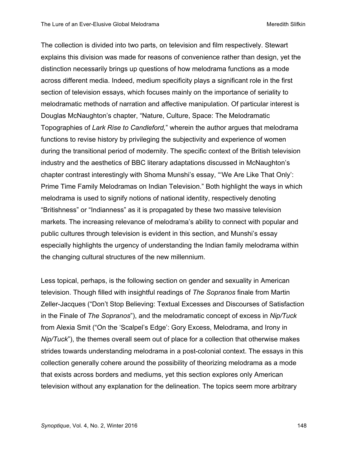The collection is divided into two parts, on television and film respectively. Stewart explains this division was made for reasons of convenience rather than design, yet the distinction necessarily brings up questions of how melodrama functions as a mode across different media. Indeed, medium specificity plays a significant role in the first section of television essays, which focuses mainly on the importance of seriality to melodramatic methods of narration and affective manipulation. Of particular interest is Douglas McNaughton's chapter, "Nature, Culture, Space: The Melodramatic Topographies of *Lark Rise to Candleford,*" wherein the author argues that melodrama functions to revise history by privileging the subjectivity and experience of women during the transitional period of modernity. The specific context of the British television industry and the aesthetics of BBC literary adaptations discussed in McNaughton's chapter contrast interestingly with Shoma Munshi's essay, "'We Are Like That Only': Prime Time Family Melodramas on Indian Television." Both highlight the ways in which melodrama is used to signify notions of national identity, respectively denoting "Britishness" or "Indianness" as it is propagated by these two massive television markets. The increasing relevance of melodrama's ability to connect with popular and public cultures through television is evident in this section, and Munshi's essay especially highlights the urgency of understanding the Indian family melodrama within the changing cultural structures of the new millennium.

Less topical, perhaps, is the following section on gender and sexuality in American television. Though filled with insightful readings of *The Sopranos* finale from Martin Zeller-Jacques ("Don't Stop Believing: Textual Excesses and Discourses of Satisfaction in the Finale of *The Sopranos*"), and the melodramatic concept of excess in *Nip/Tuck*  from Alexia Smit ("On the 'Scalpel's Edge': Gory Excess, Melodrama, and Irony in *Nip/Tuck*"), the themes overall seem out of place for a collection that otherwise makes strides towards understanding melodrama in a post-colonial context. The essays in this collection generally cohere around the possibility of theorizing melodrama as a mode that exists across borders and mediums, yet this section explores only American television without any explanation for the delineation. The topics seem more arbitrary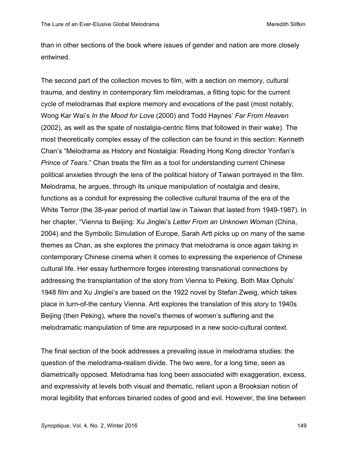than in other sections of the book where issues of gender and nation are more closely entwined.

The second part of the collection moves to film, with a section on memory, cultural trauma, and destiny in contemporary film melodramas, a fitting topic for the current cycle of melodramas that explore memory and evocations of the past (most notably, Wong Kar Wai's *In the Mood for Love* (2000) and Todd Haynes' *Far From Heaven*  (2002), as well as the spate of nostalgia-centric films that followed in their wake). The most theoretically complex essay of the collection can be found in this section: Kenneth Chan's "Melodrama as History and Nostalgia: Reading Hong Kong director Yonfan's *Prince of Tears*." Chan treats the film as a tool for understanding current Chinese political anxieties through the lens of the political history of Taiwan portrayed in the film. Melodrama, he argues, through its unique manipulation of nostalgia and desire, functions as a conduit for expressing the collective cultural trauma of the era of the White Terror (the 38-year period of martial law in Taiwan that lasted from 1949-1987). In her chapter, "Vienna to Beijing: Xu Jinglei's *Letter From an Unknown Woman* (China, 2004) and the Symbolic Simulation of Europe, Sarah Artt picks up on many of the same themes as Chan, as she explores the primacy that melodrama is once again taking in contemporary Chinese cinema when it comes to expressing the experience of Chinese cultural life. Her essay furthermore forges interesting transnational connections by addressing the transplantation of the story from Vienna to Peking. Both Max Ophuls' 1948 film and Xu Jinglei's are based on the 1922 novel by Stefan Zweig, which takes place in turn-of-the century Vienna. Artt explores the translation of this story to 1940s Beijing (then Peking), where the novel's themes of women's suffering and the melodramatic manipulation of time are repurposed in a new socio-cultural context.

The final section of the book addresses a prevailing issue in melodrama studies: the question of the melodrama-realism divide. The two were, for a long time, seen as diametrically opposed. Melodrama has long been associated with exaggeration, excess, and expressivity at levels both visual and thematic, reliant upon a Brooksian notion of moral legibility that enforces binaried codes of good and evil. However, the line between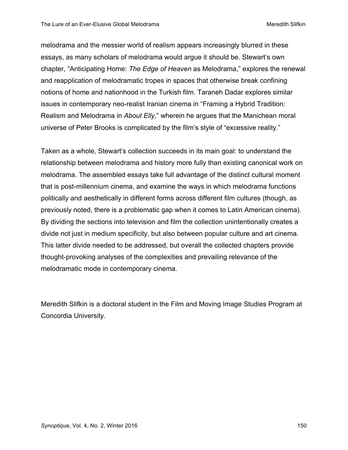melodrama and the messier world of realism appears increasingly blurred in these essays, as many scholars of melodrama would argue it should be. Stewart's own chapter, "Anticipating Home: *The Edge of Heaven* as Melodrama," explores the renewal and reapplication of melodramatic tropes in spaces that otherwise break confining notions of home and nationhood in the Turkish film*.* Taraneh Dadar explores similar issues in contemporary neo-realist Iranian cinema in "Framing a Hybrid Tradition: Realism and Melodrama in *About Elly*," wherein he argues that the Manichean moral universe of Peter Brooks is complicated by the film's style of "excessive reality."

Taken as a whole, Stewart's collection succeeds in its main goal: to understand the relationship between melodrama and history more fully than existing canonical work on melodrama. The assembled essays take full advantage of the distinct cultural moment that is post-millennium cinema, and examine the ways in which melodrama functions politically and aesthetically in different forms across different film cultures (though, as previously noted, there is a problematic gap when it comes to Latin American cinema). By dividing the sections into television and film the collection unintentionally creates a divide not just in medium specificity, but also between popular culture and art cinema. This latter divide needed to be addressed, but overall the collected chapters provide thought-provoking analyses of the complexities and prevailing relevance of the melodramatic mode in contemporary cinema.

Meredith Slifkin is a doctoral student in the Film and Moving Image Studies Program at Concordia University.